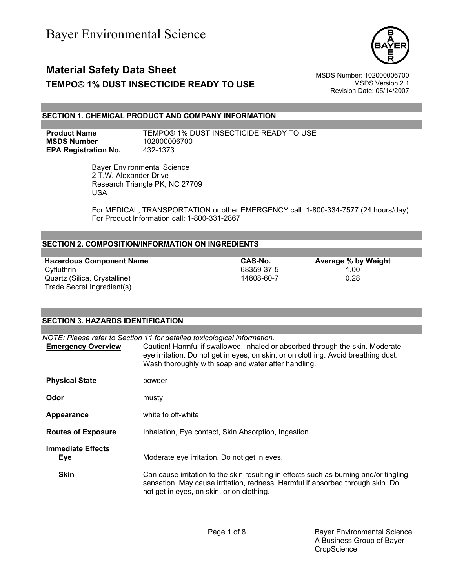

### **Material Safety Data Sheet** Material Safety Data Sheet MSDS Number: 102000006700 **TEMPO® 1% DUST INSECTICIDE READY TO USE** MSDS Version 2.1

Revision Date: 05/14/2007

#### **SECTION 1. CHEMICAL PRODUCT AND COMPANY INFORMATION**

**MSDS Number** 102000006700 **EPA Registration No.** 432-1373

**Product Name** TEMPO® 1% DUST INSECTICIDE READY TO USE

 Bayer Environmental Science 2 T.W. Alexander Drive Research Triangle PK, NC 27709 USA

For MEDICAL, TRANSPORTATION or other EMERGENCY call: 1-800-334-7577 (24 hours/day) For Product Information call: 1-800-331-2867

#### **SECTION 2. COMPOSITION/INFORMATION ON INGREDIENTS**

**Hazardous Component Name**<br>
Cyfluthrin **Cyfluthrin CAS-No. Average % by Weight**<br>
Cyfluthrin 1.00 Quartz (Silica, Crystalline) 14808-60-7 Trade Secret Ingredient(s)

**SECTION 3. HAZARDS IDENTIFICATION** 

68359-37-5 1.00<br>14808-60-7 0.28

| SEUTIUN 3. HAZARDS IDENTIFIUATIUN |                                                                                                                                                                                                                                                                                                        |
|-----------------------------------|--------------------------------------------------------------------------------------------------------------------------------------------------------------------------------------------------------------------------------------------------------------------------------------------------------|
|                                   |                                                                                                                                                                                                                                                                                                        |
| <b>Emergency Overview</b>         | NOTE: Please refer to Section 11 for detailed toxicological information.<br>Caution! Harmful if swallowed, inhaled or absorbed through the skin. Moderate<br>eye irritation. Do not get in eyes, on skin, or on clothing. Avoid breathing dust.<br>Wash thoroughly with soap and water after handling. |
| <b>Physical State</b>             | powder                                                                                                                                                                                                                                                                                                 |
| Odor                              | musty                                                                                                                                                                                                                                                                                                  |
| Appearance                        | white to off-white                                                                                                                                                                                                                                                                                     |
| <b>Routes of Exposure</b>         | Inhalation, Eye contact, Skin Absorption, Ingestion                                                                                                                                                                                                                                                    |
| <b>Immediate Effects</b><br>Eye   | Moderate eye irritation. Do not get in eyes.                                                                                                                                                                                                                                                           |
| <b>Skin</b>                       | Can cause irritation to the skin resulting in effects such as burning and/or tingling<br>sensation. May cause irritation, redness. Harmful if absorbed through skin. Do<br>not get in eyes, on skin, or on clothing.                                                                                   |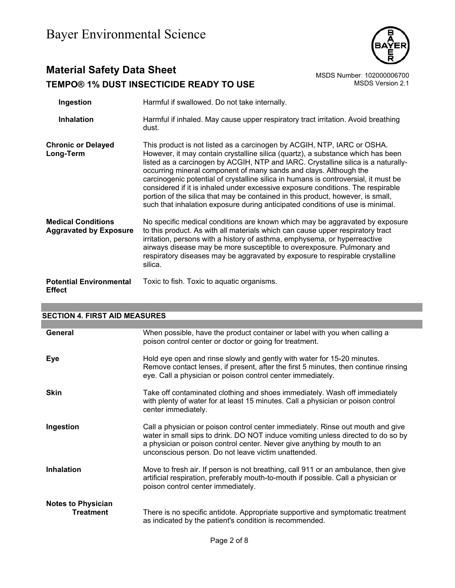

### **Material Safety Data Sheet**<br>TEMPO® 1% DUST INSECTICIDE READY TO USE<br>MSDS Version 2.1 **TEMPO® 1% DUST INSECTICIDE READY TO USE**

| Ingestion                                                  | Harmful if swallowed. Do not take internally.                                                                                                                                                                                                                                                                                                                                                                                                                                                                                                                                                                                                                       |
|------------------------------------------------------------|---------------------------------------------------------------------------------------------------------------------------------------------------------------------------------------------------------------------------------------------------------------------------------------------------------------------------------------------------------------------------------------------------------------------------------------------------------------------------------------------------------------------------------------------------------------------------------------------------------------------------------------------------------------------|
| <b>Inhalation</b>                                          | Harmful if inhaled. May cause upper respiratory tract irritation. Avoid breathing<br>dust.                                                                                                                                                                                                                                                                                                                                                                                                                                                                                                                                                                          |
| <b>Chronic or Delayed</b><br>Long-Term                     | This product is not listed as a carcinogen by ACGIH, NTP, IARC or OSHA.<br>However, it may contain crystalline silica (quartz), a substance which has been<br>listed as a carcinogen by ACGIH, NTP and IARC. Crystalline silica is a naturally-<br>occurring mineral component of many sands and clays. Although the<br>carcinogenic potential of crystalline silica in humans is controversial, it must be<br>considered if it is inhaled under excessive exposure conditions. The respirable<br>portion of the silica that may be contained in this product, however, is small,<br>such that inhalation exposure during anticipated conditions of use is minimal. |
| <b>Medical Conditions</b><br><b>Aggravated by Exposure</b> | No specific medical conditions are known which may be aggravated by exposure<br>to this product. As with all materials which can cause upper respiratory tract<br>irritation, persons with a history of asthma, emphysema, or hyperreactive<br>airways disease may be more susceptible to overexposure. Pulmonary and<br>respiratory diseases may be aggravated by exposure to respirable crystalline<br>silica.                                                                                                                                                                                                                                                    |
| <b>Potential Environmental</b><br><b>Effect</b>            | Toxic to fish. Toxic to aquatic organisms.                                                                                                                                                                                                                                                                                                                                                                                                                                                                                                                                                                                                                          |

| <b>SECTION 4. FIRST AID MEASURES</b>          |                                                                                                                                                                                                                                                                                                        |
|-----------------------------------------------|--------------------------------------------------------------------------------------------------------------------------------------------------------------------------------------------------------------------------------------------------------------------------------------------------------|
|                                               |                                                                                                                                                                                                                                                                                                        |
| General                                       | When possible, have the product container or label with you when calling a<br>poison control center or doctor or going for treatment.                                                                                                                                                                  |
| Eye                                           | Hold eye open and rinse slowly and gently with water for 15-20 minutes.<br>Remove contact lenses, if present, after the first 5 minutes, then continue rinsing<br>eye. Call a physician or poison control center immediately.                                                                          |
| <b>Skin</b>                                   | Take off contaminated clothing and shoes immediately. Wash off immediately<br>with plenty of water for at least 15 minutes. Call a physician or poison control<br>center immediately.                                                                                                                  |
| Ingestion                                     | Call a physician or poison control center immediately. Rinse out mouth and give<br>water in small sips to drink. DO NOT induce vomiting unless directed to do so by<br>a physician or poison control center. Never give anything by mouth to an<br>unconscious person. Do not leave victim unattended. |
| <b>Inhalation</b>                             | Move to fresh air. If person is not breathing, call 911 or an ambulance, then give<br>artificial respiration, preferably mouth-to-mouth if possible. Call a physician or<br>poison control center immediately.                                                                                         |
| <b>Notes to Physician</b><br><b>Treatment</b> | There is no specific antidote. Appropriate supportive and symptomatic treatment<br>as indicated by the patient's condition is recommended.                                                                                                                                                             |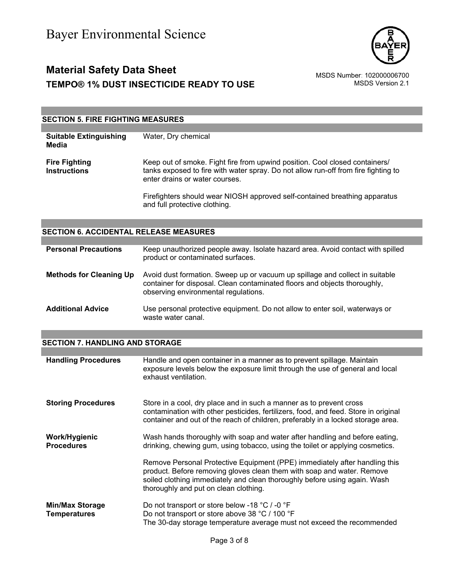

### **Material Safety Data Sheet** Material Safety Data Sheet<br>102000006700 MSDS Number: 102000006700<br>1.1 MSDS Version 2.1 **TEMPO® 1% DUST INSECTICIDE READY TO USE**

#### **SECTION 5. FIRE FIGHTING MEASURES**

| <b>Suitable Extinguishing</b><br>Media      | Water, Dry chemical                                                                                                                                                                                 |
|---------------------------------------------|-----------------------------------------------------------------------------------------------------------------------------------------------------------------------------------------------------|
| <b>Fire Fighting</b><br><b>Instructions</b> | Keep out of smoke. Fight fire from upwind position. Cool closed containers/<br>tanks exposed to fire with water spray. Do not allow run-off from fire fighting to<br>enter drains or water courses. |
|                                             | Firefighters should wear NIOSH approved self-contained breathing apparatus                                                                                                                          |

and full protective clothing.

#### **SECTION 6. ACCIDENTAL RELEASE MEASURES**

| <b>Personal Precautions</b>    | Keep unauthorized people away. Isolate hazard area. Avoid contact with spilled<br>product or contaminated surfaces.                                                                               |
|--------------------------------|---------------------------------------------------------------------------------------------------------------------------------------------------------------------------------------------------|
| <b>Methods for Cleaning Up</b> | Avoid dust formation. Sweep up or vacuum up spillage and collect in suitable<br>container for disposal. Clean contaminated floors and objects thoroughly,<br>observing environmental regulations. |
| <b>Additional Advice</b>       | Use personal protective equipment. Do not allow to enter soil, waterways or<br>waste water canal.                                                                                                 |

#### **SECTION 7. HANDLING AND STORAGE**

| <b>Handling Procedures</b>                    | Handle and open container in a manner as to prevent spillage. Maintain<br>exposure levels below the exposure limit through the use of general and local<br>exhaust ventilation.                                                                                            |
|-----------------------------------------------|----------------------------------------------------------------------------------------------------------------------------------------------------------------------------------------------------------------------------------------------------------------------------|
| <b>Storing Procedures</b>                     | Store in a cool, dry place and in such a manner as to prevent cross<br>contamination with other pesticides, fertilizers, food, and feed. Store in original<br>container and out of the reach of children, preferably in a locked storage area.                             |
| Work/Hygienic<br><b>Procedures</b>            | Wash hands thoroughly with soap and water after handling and before eating,<br>drinking, chewing gum, using tobacco, using the toilet or applying cosmetics.                                                                                                               |
|                                               | Remove Personal Protective Equipment (PPE) immediately after handling this<br>product. Before removing gloves clean them with soap and water. Remove<br>soiled clothing immediately and clean thoroughly before using again. Wash<br>thoroughly and put on clean clothing. |
| <b>Min/Max Storage</b><br><b>Temperatures</b> | Do not transport or store below -18 $^{\circ}$ C / -0 $^{\circ}$ F<br>Do not transport or store above 38 °C / 100 °F<br>The 30-day storage temperature average must not exceed the recommended                                                                             |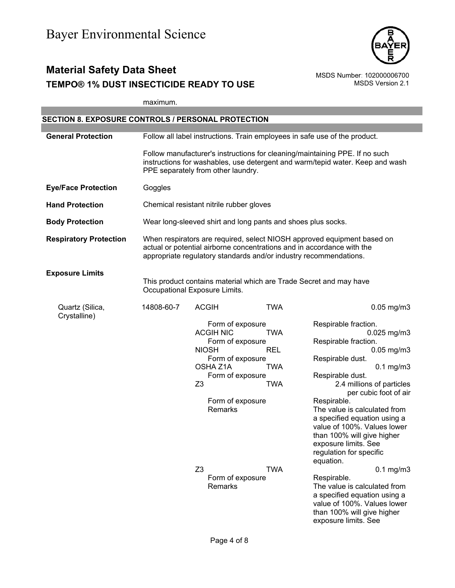

## **Material Safety Data Sheet**<br>TEMPO® 1% DUST INSECTICIDE READY TO USE<br>MSDS Version 2.1 **TEMPO® 1% DUST INSECTICIDE READY TO USE**

|                                                    | maximum.   |                                                              |            |                                                                                                                                                                                                                        |
|----------------------------------------------------|------------|--------------------------------------------------------------|------------|------------------------------------------------------------------------------------------------------------------------------------------------------------------------------------------------------------------------|
|                                                    |            |                                                              |            |                                                                                                                                                                                                                        |
| SECTION 8. EXPOSURE CONTROLS / PERSONAL PROTECTION |            |                                                              |            |                                                                                                                                                                                                                        |
| <b>General Protection</b>                          |            |                                                              |            | Follow all label instructions. Train employees in safe use of the product.                                                                                                                                             |
|                                                    |            | PPE separately from other laundry.                           |            | Follow manufacturer's instructions for cleaning/maintaining PPE. If no such<br>instructions for washables, use detergent and warm/tepid water. Keep and wash                                                           |
| <b>Eye/Face Protection</b>                         | Goggles    |                                                              |            |                                                                                                                                                                                                                        |
| <b>Hand Protection</b>                             |            | Chemical resistant nitrile rubber gloves                     |            |                                                                                                                                                                                                                        |
| <b>Body Protection</b>                             |            | Wear long-sleeved shirt and long pants and shoes plus socks. |            |                                                                                                                                                                                                                        |
| <b>Respiratory Protection</b>                      |            |                                                              |            | When respirators are required, select NIOSH approved equipment based on<br>actual or potential airborne concentrations and in accordance with the<br>appropriate regulatory standards and/or industry recommendations. |
| <b>Exposure Limits</b>                             |            |                                                              |            |                                                                                                                                                                                                                        |
|                                                    |            | Occupational Exposure Limits.                                |            | This product contains material which are Trade Secret and may have                                                                                                                                                     |
| Quartz (Silica,<br>Crystalline)                    | 14808-60-7 | <b>ACGIH</b>                                                 | <b>TWA</b> | $0.05$ mg/m $3$                                                                                                                                                                                                        |
|                                                    |            | Form of exposure                                             |            | Respirable fraction.                                                                                                                                                                                                   |
|                                                    |            | <b>ACGIH NIC</b>                                             | <b>TWA</b> | $0.025$ mg/m3                                                                                                                                                                                                          |
|                                                    |            | Form of exposure                                             |            | Respirable fraction.                                                                                                                                                                                                   |
|                                                    |            | <b>NIOSH</b>                                                 | <b>REL</b> | $0.05$ mg/m $3$                                                                                                                                                                                                        |
|                                                    |            | Form of exposure                                             |            | Respirable dust.                                                                                                                                                                                                       |
|                                                    |            | OSHA Z1A                                                     | <b>TWA</b> | $0.1$ mg/m $3$                                                                                                                                                                                                         |
|                                                    |            | Form of exposure                                             |            | Respirable dust.                                                                                                                                                                                                       |
|                                                    |            | Z3                                                           | TWA        | 2.4 millions of particles<br>per cubic foot of air                                                                                                                                                                     |
|                                                    |            | Form of exposure<br>Remarks                                  |            | Respirable.<br>The value is calculated from<br>a specified equation using a<br>value of 100%. Values lower<br>than 100% will give higher<br>exposure limits. See<br>regulation for specific<br>equation.               |
|                                                    |            | Z <sub>3</sub>                                               | <b>TWA</b> | $0.1$ mg/m $3$                                                                                                                                                                                                         |
|                                                    |            | Form of exposure<br>Remarks                                  |            | Respirable.<br>The value is calculated from<br>a specified equation using a<br>value of 100%. Values lower<br>than 100% will give higher<br>exposure limits. See                                                       |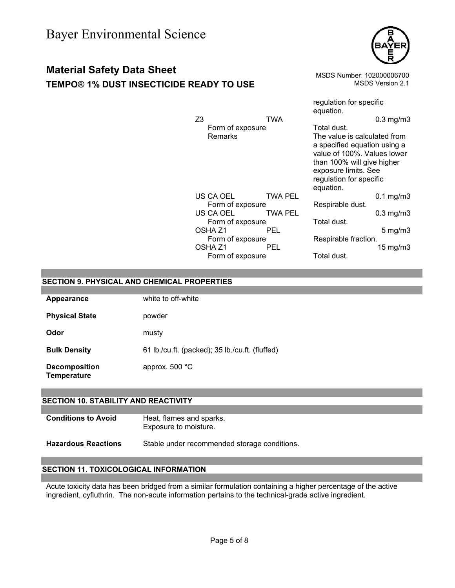# **Material Safety Data Sheet** Material Safety Data Sheet MSDS Number: 102000006700

**TEMPO® 1% DUST INSECTICIDE READY TO USE** MSDS Version 2.1



|                |                    |         | regulation for specific                                                                                                                                                                   |                     |
|----------------|--------------------|---------|-------------------------------------------------------------------------------------------------------------------------------------------------------------------------------------------|---------------------|
|                |                    |         | equation.                                                                                                                                                                                 |                     |
| Z <sub>3</sub> |                    | TWA     |                                                                                                                                                                                           | $0.3$ mg/m $3$      |
|                | Form of exposure   |         | Total dust.                                                                                                                                                                               |                     |
|                | <b>Remarks</b>     |         | The value is calculated from<br>a specified equation using a<br>value of 100%. Values lower<br>than 100% will give higher<br>exposure limits. See<br>regulation for specific<br>equation. |                     |
|                | US CA OEL          | TWA PEL |                                                                                                                                                                                           | $0.1$ mg/m $3$      |
|                | Form of exposure   |         | Respirable dust.                                                                                                                                                                          |                     |
|                | US CA OEL          | TWA PEL |                                                                                                                                                                                           | $0.3$ mg/m $3$      |
|                | Form of exposure   |         | Total dust.                                                                                                                                                                               |                     |
|                | OSHA <sub>Z1</sub> | PEL     |                                                                                                                                                                                           | $5 \text{ mg/m}$    |
|                | Form of exposure   |         | Respirable fraction.                                                                                                                                                                      |                     |
|                | OSHA <sub>Z1</sub> | PEL     |                                                                                                                                                                                           | $15 \text{ mg/m}$ 3 |
|                | Form of exposure   |         | Total dust.                                                                                                                                                                               |                     |

#### **SECTION 9. PHYSICAL AND CHEMICAL PROPERTIES**

| Appearance                          | white to off-white                              |
|-------------------------------------|-------------------------------------------------|
| <b>Physical State</b>               | powder                                          |
| Odor                                | musty                                           |
| <b>Bulk Density</b>                 | 61 lb./cu.ft. (packed); 35 lb./cu.ft. (fluffed) |
| <b>Decomposition</b><br>Temperature | approx. $500 °C$                                |

#### **SECTION 10. STABILITY AND REACTIVITY**

| <b>Conditions to Avoid</b> | Heat, flames and sparks. |
|----------------------------|--------------------------|
|                            | Exposure to moisture.    |

**Hazardous Reactions** Stable under recommended storage conditions.

#### **SECTION 11. TOXICOLOGICAL INFORMATION**

Acute toxicity data has been bridged from a similar formulation containing a higher percentage of the active ingredient, cyfluthrin. The non-acute information pertains to the technical-grade active ingredient.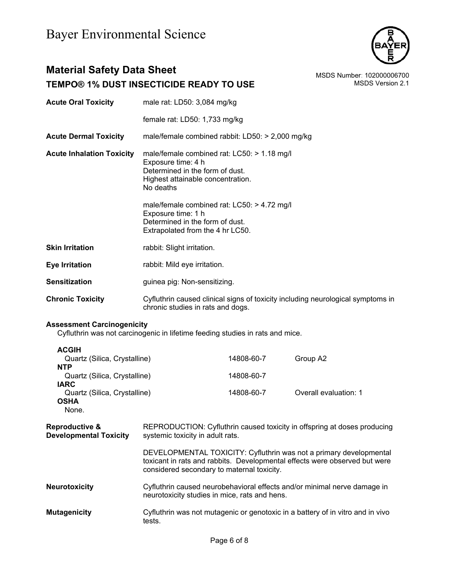

### **Material Safety Data Sheet**<br>TEMPO® 1% DUST INSECTICIDE READY TO USE<br>MSDS Version 2.1 **TEMPO® 1% DUST INSECTICIDE READY TO USE**

| <b>Acute Oral Toxicity</b>                                 | male rat: LD50: 3,084 mg/kg                                                                                                                            |            |                                                                                                                                                  |  |
|------------------------------------------------------------|--------------------------------------------------------------------------------------------------------------------------------------------------------|------------|--------------------------------------------------------------------------------------------------------------------------------------------------|--|
|                                                            | female rat: LD50: 1,733 mg/kg                                                                                                                          |            |                                                                                                                                                  |  |
| <b>Acute Dermal Toxicity</b>                               | male/female combined rabbit: LD50: > 2,000 mg/kg                                                                                                       |            |                                                                                                                                                  |  |
| <b>Acute Inhalation Toxicity</b>                           | male/female combined rat: LC50: > 1.18 mg/l<br>Exposure time: 4 h<br>Determined in the form of dust.<br>Highest attainable concentration.<br>No deaths |            |                                                                                                                                                  |  |
|                                                            | male/female combined rat: $LCS0:$ > 4.72 mg/l<br>Exposure time: 1 h<br>Determined in the form of dust.<br>Extrapolated from the 4 hr LC50.             |            |                                                                                                                                                  |  |
| <b>Skin Irritation</b>                                     | rabbit: Slight irritation.                                                                                                                             |            |                                                                                                                                                  |  |
| <b>Eye Irritation</b>                                      | rabbit: Mild eye irritation.                                                                                                                           |            |                                                                                                                                                  |  |
| <b>Sensitization</b>                                       | guinea pig: Non-sensitizing.                                                                                                                           |            |                                                                                                                                                  |  |
| <b>Chronic Toxicity</b>                                    | Cyfluthrin caused clinical signs of toxicity including neurological symptoms in<br>chronic studies in rats and dogs.                                   |            |                                                                                                                                                  |  |
| <b>Assessment Carcinogenicity</b>                          | Cyfluthrin was not carcinogenic in lifetime feeding studies in rats and mice.                                                                          |            |                                                                                                                                                  |  |
| <b>ACGIH</b>                                               |                                                                                                                                                        |            |                                                                                                                                                  |  |
| Quartz (Silica, Crystalline)<br><b>NTP</b>                 |                                                                                                                                                        | 14808-60-7 | Group A2                                                                                                                                         |  |
| Quartz (Silica, Crystalline)<br><b>IARC</b>                |                                                                                                                                                        | 14808-60-7 |                                                                                                                                                  |  |
| Quartz (Silica, Crystalline)<br><b>OSHA</b><br>None.       |                                                                                                                                                        | 14808-60-7 | Overall evaluation: 1                                                                                                                            |  |
| <b>Reproductive &amp;</b><br><b>Developmental Toxicity</b> | systemic toxicity in adult rats.                                                                                                                       |            | REPRODUCTION: Cyfluthrin caused toxicity in offspring at doses producing                                                                         |  |
|                                                            | considered secondary to maternal toxicity.                                                                                                             |            | DEVELOPMENTAL TOXICITY: Cyfluthrin was not a primary developmental<br>toxicant in rats and rabbits. Developmental effects were observed but were |  |
| <b>Neurotoxicity</b>                                       | Cyfluthrin caused neurobehavioral effects and/or minimal nerve damage in<br>neurotoxicity studies in mice, rats and hens.                              |            |                                                                                                                                                  |  |
| <b>Mutagenicity</b>                                        | Cyfluthrin was not mutagenic or genotoxic in a battery of in vitro and in vivo<br>tests.                                                               |            |                                                                                                                                                  |  |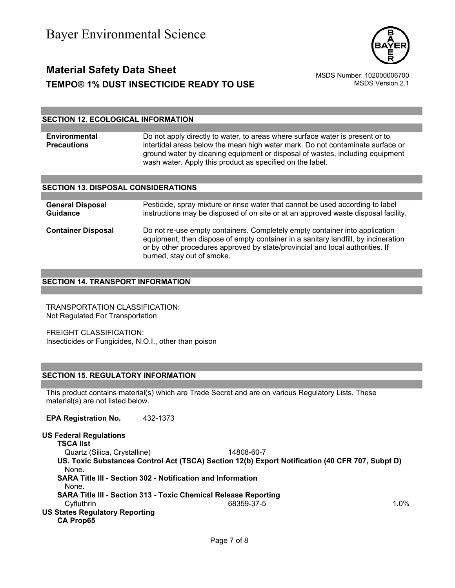

### **Material Safety Data Sheet** Material Safety Data Sheet<br>1.2000006700 MSDS Number: 102000006700<br>1.2 MSDS Version 2.1 **TEMPO® 1% DUST INSECTICIDE READY TO USE**

#### **SECTION 12. ECOLOGICAL INFORMATION**

**Environmental Precautions**  Do not apply directly to water, to areas where surface water is present or to intertidal areas below the mean high water mark. Do not contaminate surface or ground water by cleaning equipment or disposal of wastes, including equipment wash water. Apply this product as specified on the label.

#### **SECTION 13. DISPOSAL CONSIDERATIONS**

| <b>General Disposal</b><br><b>Guidance</b> | Pesticide, spray mixture or rinse water that cannot be used according to label<br>instructions may be disposed of on site or at an approved waste disposal facility.                                                                                                             |
|--------------------------------------------|----------------------------------------------------------------------------------------------------------------------------------------------------------------------------------------------------------------------------------------------------------------------------------|
| <b>Container Disposal</b>                  | Do not re-use empty containers. Completely empty container into application<br>equipment, then dispose of empty container in a sanitary landfill, by incineration<br>or by other procedures approved by state/provincial and local authorities. If<br>burned, stay out of smoke. |

#### **SECTION 14. TRANSPORT INFORMATION**

TRANSPORTATION CLASSIFICATION: Not Regulated For Transportation

FREIGHT CLASSIFICATION: Insecticides or Fungicides, N.O.I., other than poison

#### **SECTION 15. REGULATORY INFORMATION**

This product contains material(s) which are Trade Secret and are on various Regulatory Lists. These material(s) are not listed below.

**EPA Registration No.** 432-1373

#### **US Federal Regulations**

**TSCA list** Quartz (Silica, Crystalline) 14808-60-7 **US. Toxic Substances Control Act (TSCA) Section 12(b) Export Notification (40 CFR 707, Subpt D)** None. **SARA Title III - Section 302 - Notification and Information** None. **SARA Title III - Section 313 - Toxic Chemical Release Reporting** Cyfluthrin 68359-37-5 1.0% **US States Regulatory Reporting CA Prop65**